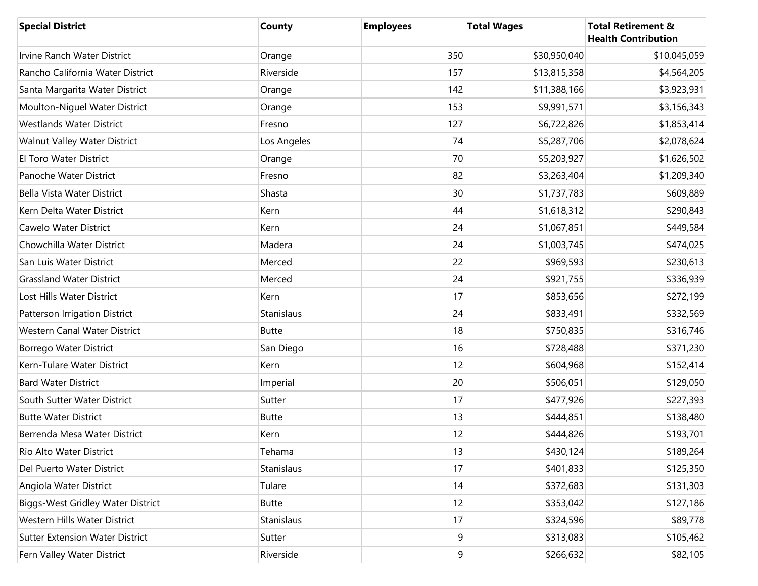| <b>Special District</b>                  | County       | <b>Employees</b> | <b>Total Wages</b> | <b>Total Retirement &amp;</b><br><b>Health Contribution</b> |
|------------------------------------------|--------------|------------------|--------------------|-------------------------------------------------------------|
| Irvine Ranch Water District              | Orange       | 350              | \$30,950,040       | \$10,045,059                                                |
| Rancho California Water District         | Riverside    | 157              | \$13,815,358       | \$4,564,205                                                 |
| Santa Margarita Water District           | Orange       | 142              | \$11,388,166       | \$3,923,931                                                 |
| Moulton-Niguel Water District            | Orange       | 153              | \$9,991,571        | \$3,156,343                                                 |
| <b>Westlands Water District</b>          | Fresno       | 127              | \$6,722,826        | \$1,853,414                                                 |
| Walnut Valley Water District             | Los Angeles  | 74               | \$5,287,706        | \$2,078,624                                                 |
| El Toro Water District                   | Orange       | 70               | \$5,203,927        | \$1,626,502                                                 |
| Panoche Water District                   | Fresno       | 82               | \$3,263,404        | \$1,209,340                                                 |
| Bella Vista Water District               | Shasta       | 30               | \$1,737,783        | \$609,889                                                   |
| Kern Delta Water District                | Kern         | 44               | \$1,618,312        | \$290,843                                                   |
| Cawelo Water District                    | Kern         | 24               | \$1,067,851        | \$449,584                                                   |
| Chowchilla Water District                | Madera       | 24               | \$1,003,745        | \$474,025                                                   |
| San Luis Water District                  | Merced       | 22               | \$969,593          | \$230,613                                                   |
| <b>Grassland Water District</b>          | Merced       | 24               | \$921,755          | \$336,939                                                   |
| Lost Hills Water District                | Kern         | 17               | \$853,656          | \$272,199                                                   |
| Patterson Irrigation District            | Stanislaus   | 24               | \$833,491          | \$332,569                                                   |
| Western Canal Water District             | <b>Butte</b> | 18               | \$750,835          | \$316,746                                                   |
| Borrego Water District                   | San Diego    | 16               | \$728,488          | \$371,230                                                   |
| Kern-Tulare Water District               | Kern         | 12               | \$604,968          | \$152,414                                                   |
| <b>Bard Water District</b>               | Imperial     | 20               | \$506,051          | \$129,050                                                   |
| South Sutter Water District              | Sutter       | 17               | \$477,926          | \$227,393                                                   |
| <b>Butte Water District</b>              | <b>Butte</b> | 13               | \$444,851          | \$138,480                                                   |
| Berrenda Mesa Water District             | Kern         | 12               | \$444,826          | \$193,701                                                   |
| Rio Alto Water District                  | Tehama       | 13               | \$430,124          | \$189,264                                                   |
| Del Puerto Water District                | Stanislaus   | 17               | \$401,833          | \$125,350                                                   |
| Angiola Water District                   | Tulare       | 14               | \$372,683          | \$131,303                                                   |
| <b>Biggs-West Gridley Water District</b> | <b>Butte</b> | 12               | \$353,042          | \$127,186                                                   |
| Western Hills Water District             | Stanislaus   | 17               | \$324,596          | \$89,778                                                    |
| <b>Sutter Extension Water District</b>   | Sutter       | $\boldsymbol{9}$ | \$313,083          | \$105,462                                                   |
| Fern Valley Water District               | Riverside    | $\overline{9}$   | \$266,632          | \$82,105                                                    |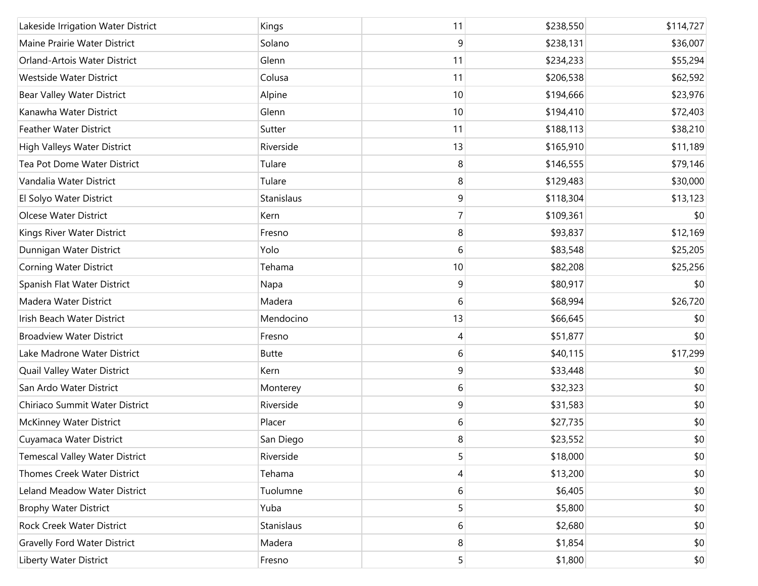| Lakeside Irrigation Water District    | Kings        | 11             | \$238,550 | \$114,727 |
|---------------------------------------|--------------|----------------|-----------|-----------|
| Maine Prairie Water District          | Solano       | 9              | \$238,131 | \$36,007  |
| Orland-Artois Water District          | Glenn        | 11             | \$234,233 | \$55,294  |
| Westside Water District               | Colusa       | 11             | \$206,538 | \$62,592  |
| Bear Valley Water District            | Alpine       | 10             | \$194,666 | \$23,976  |
| Kanawha Water District                | Glenn        | 10             | \$194,410 | \$72,403  |
| <b>Feather Water District</b>         | Sutter       | 11             | \$188,113 | \$38,210  |
| High Valleys Water District           | Riverside    | 13             | \$165,910 | \$11,189  |
| Tea Pot Dome Water District           | Tulare       | 8              | \$146,555 | \$79,146  |
| Vandalia Water District               | Tulare       | 8              | \$129,483 | \$30,000  |
| El Solyo Water District               | Stanislaus   | 9              | \$118,304 | \$13,123  |
| Olcese Water District                 | Kern         | $\overline{7}$ | \$109,361 | \$0       |
| Kings River Water District            | Fresno       | 8              | \$93,837  | \$12,169  |
| Dunnigan Water District               | Yolo         | 6              | \$83,548  | \$25,205  |
| Corning Water District                | Tehama       | 10             | \$82,208  | \$25,256  |
| Spanish Flat Water District           | Napa         | 9              | \$80,917  | \$0       |
| Madera Water District                 | Madera       | 6              | \$68,994  | \$26,720  |
| Irish Beach Water District            | Mendocino    | 13             | \$66,645  | \$0       |
| <b>Broadview Water District</b>       | Fresno       | 4              | \$51,877  | \$0       |
| Lake Madrone Water District           | <b>Butte</b> | 6              | \$40,115  | \$17,299  |
| Quail Valley Water District           | Kern         | 9              | \$33,448  | \$0       |
| San Ardo Water District               | Monterey     | 6              | \$32,323  | \$0       |
| Chiriaco Summit Water District        | Riverside    | 9              | \$31,583  | \$0       |
| <b>McKinney Water District</b>        | Placer       | 6              | \$27,735  | \$0       |
| Cuyamaca Water District               | San Diego    | 8              | \$23,552  | \$0       |
| <b>Temescal Valley Water District</b> | Riverside    | 5              | \$18,000  | \$0       |
| Thomes Creek Water District           | Tehama       | 4              | \$13,200  | \$0       |
| Leland Meadow Water District          | Tuolumne     | 6              | \$6,405   | \$0       |
| <b>Brophy Water District</b>          | Yuba         | 5              | \$5,800   | \$0       |
| Rock Creek Water District             | Stanislaus   | 6              | \$2,680   | \$0       |
| <b>Gravelly Ford Water District</b>   | Madera       | 8              | \$1,854   | \$0       |
| Liberty Water District                | Fresno       | 5 <sup>1</sup> | \$1,800   | \$0       |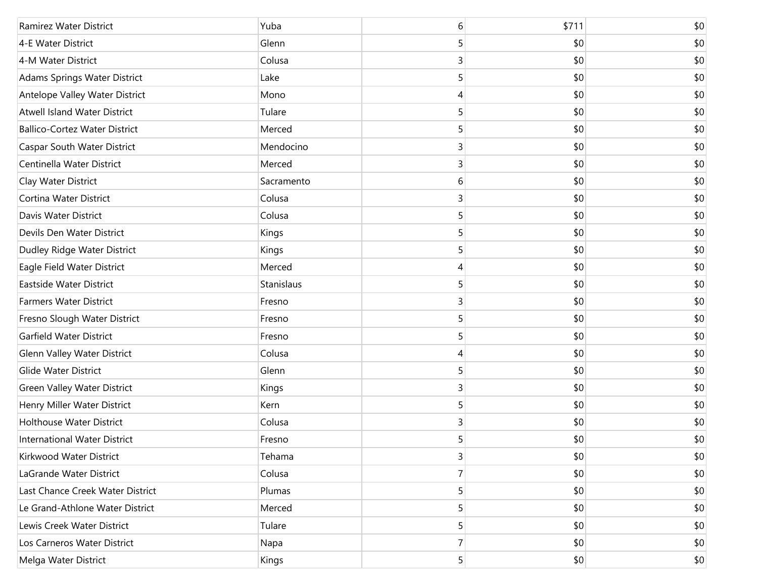| Ramirez Water District               | Yuba       | 6 | \$711 | \$0 |
|--------------------------------------|------------|---|-------|-----|
| 4-E Water District                   | Glenn      | 5 | \$0   | \$0 |
| 4-M Water District                   | Colusa     | 3 | \$0   | \$0 |
| Adams Springs Water District         | Lake       | 5 | \$0   | \$0 |
| Antelope Valley Water District       | Mono       | 4 | \$0   | \$0 |
| <b>Atwell Island Water District</b>  | Tulare     | 5 | \$0   | \$0 |
| <b>Ballico-Cortez Water District</b> | Merced     | 5 | \$0   | \$0 |
| <b>Caspar South Water District</b>   | Mendocino  | 3 | \$0   | \$0 |
| Centinella Water District            | Merced     | 3 | \$0   | \$0 |
| Clay Water District                  | Sacramento | 6 | \$0   | \$0 |
| Cortina Water District               | Colusa     | 3 | \$0   | \$0 |
| Davis Water District                 | Colusa     | 5 | \$0   | \$0 |
| Devils Den Water District            | Kings      | 5 | \$0   | \$0 |
| Dudley Ridge Water District          | Kings      | 5 | \$0   | \$0 |
| Eagle Field Water District           | Merced     | 4 | \$0   | \$0 |
| Eastside Water District              | Stanislaus | 5 | \$0   | \$0 |
| <b>Farmers Water District</b>        | Fresno     | 3 | \$0   | \$0 |
| Fresno Slough Water District         | Fresno     | 5 | \$0   | \$0 |
| Garfield Water District              | Fresno     | 5 | \$0   | \$0 |
| Glenn Valley Water District          | Colusa     | 4 | \$0   | \$0 |
| <b>Glide Water District</b>          | Glenn      | 5 | \$0   | \$0 |
| Green Valley Water District          | Kings      | 3 | \$0   | \$0 |
| Henry Miller Water District          | Kern       | 5 | \$0   | \$0 |
| <b>Holthouse Water District</b>      | Colusa     | 3 | \$0   | \$0 |
| <b>International Water District</b>  | Fresno     | 5 | \$0   | \$0 |
| Kirkwood Water District              | Tehama     | 3 | \$0   | \$0 |
| LaGrande Water District              | Colusa     | 7 | \$0   | \$0 |
| Last Chance Creek Water District     | Plumas     | 5 | \$0   | \$0 |
| Le Grand-Athlone Water District      | Merced     | 5 | \$0   | \$0 |
| Lewis Creek Water District           | Tulare     | 5 | \$0   | \$0 |
| Los Carneros Water District          | Napa       | 7 | \$0   | \$0 |
| Melga Water District                 | Kings      | 5 | \$0   | \$0 |